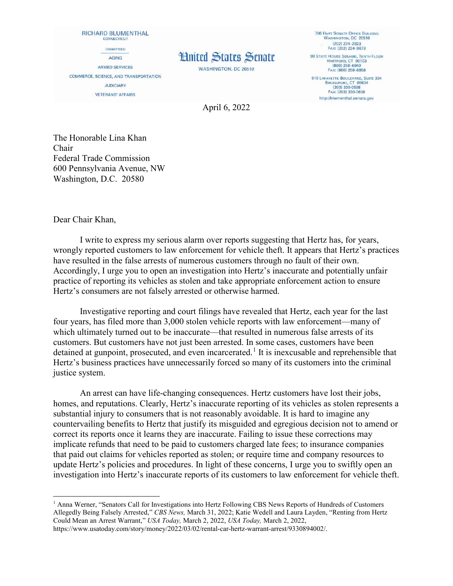RICHARD BLUMENTHAL **CONNECTICUT** COMMITTEES: **AGING ARMED SERVICES** COMMERCE, SCIENCE, AND TRANSPORTATION **JUDICIARY VETERANS' AFFAIRS** 

## **Hnited States Senate**

WASHINGTON, DC 20510

**706 HART SENATE OFFICE BUILDING<br>WASHINGTON, DC 20510**  $(202)$  224-2823 Fax: (202) 224-9673 **90 STATE HOUSE SQUARE, TENTH FLOOR** HARTFORD, CT 06103 FAX: (860) 258-6958 915 LAFAYETTE BOULEVARD, SUITE 304<br>BRIDGEPORT, CT 06604  $(203)$  330-0598 Fax: (203) 330-0608 http://blumenthal.senate.gov

April 6, 2022

The Honorable Lina Khan Chair Federal Trade Commission 600 Pennsylvania Avenue, NW Washington, D.C. 20580

Dear Chair Khan,

l

I write to express my serious alarm over reports suggesting that Hertz has, for years, wrongly reported customers to law enforcement for vehicle theft. It appears that Hertz's practices have resulted in the false arrests of numerous customers through no fault of their own. Accordingly, I urge you to open an investigation into Hertz's inaccurate and potentially unfair practice of reporting its vehicles as stolen and take appropriate enforcement action to ensure Hertz's consumers are not falsely arrested or otherwise harmed.

Investigative reporting and court filings have revealed that Hertz, each year for the last four years, has filed more than 3,000 stolen vehicle reports with law enforcement—many of which ultimately turned out to be inaccurate—that resulted in numerous false arrests of its customers. But customers have not just been arrested. In some cases, customers have been detained at gunpoint, prosecuted, and even incarcerated.<sup>[1](#page-0-0)</sup> It is inexcusable and reprehensible that Hertz's business practices have unnecessarily forced so many of its customers into the criminal justice system.

An arrest can have life-changing consequences. Hertz customers have lost their jobs, homes, and reputations. Clearly, Hertz's inaccurate reporting of its vehicles as stolen represents a substantial injury to consumers that is not reasonably avoidable. It is hard to imagine any countervailing benefits to Hertz that justify its misguided and egregious decision not to amend or correct its reports once it learns they are inaccurate. Failing to issue these corrections may implicate refunds that need to be paid to customers charged late fees; to insurance companies that paid out claims for vehicles reported as stolen; or require time and company resources to update Hertz's policies and procedures. In light of these concerns, I urge you to swiftly open an investigation into Hertz's inaccurate reports of its customers to law enforcement for vehicle theft.

<span id="page-0-0"></span><sup>&</sup>lt;sup>1</sup> Anna Werner, "Senators Call for Investigations into Hertz Following CBS News Reports of Hundreds of Customers Allegedly Being Falsely Arrested," *CBS News,* March 31, 2022; Katie Wedell and Laura Layden, "Renting from Hertz Could Mean an Arrest Warrant," *USA Today,* March 2, 2022, *USA Today,* March 2, 2022, https://www.usatoday.com/story/money/2022/03/02/rental-car-hertz-warrant-arrest/9330894002/.